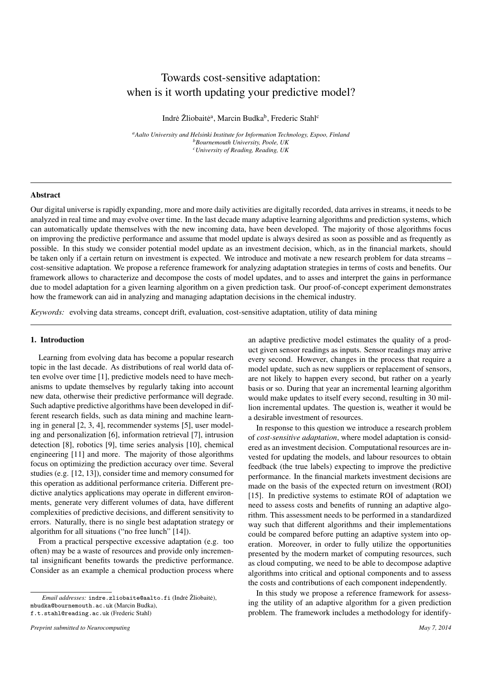# Towards cost-sensitive adaptation: when is it worth updating your predictive model?

Indrė Žliobaitė<sup>a</sup>, Marcin Budka<sup>b</sup>, Frederic Stahl<sup>c</sup>

*<sup>a</sup>Aalto University and Helsinki Institute for Information Technology, Espoo, Finland <sup>b</sup>Bournemouth University, Poole, UK <sup>c</sup>University of Reading, Reading, UK*

# Abstract

Our digital universe is rapidly expanding, more and more daily activities are digitally recorded, data arrives in streams, it needs to be analyzed in real time and may evolve over time. In the last decade many adaptive learning algorithms and prediction systems, which can automatically update themselves with the new incoming data, have been developed. The majority of those algorithms focus on improving the predictive performance and assume that model update is always desired as soon as possible and as frequently as possible. In this study we consider potential model update as an investment decision, which, as in the financial markets, should be taken only if a certain return on investment is expected. We introduce and motivate a new research problem for data streams – cost-sensitive adaptation. We propose a reference framework for analyzing adaptation strategies in terms of costs and benefits. Our framework allows to characterize and decompose the costs of model updates, and to asses and interpret the gains in performance due to model adaptation for a given learning algorithm on a given prediction task. Our proof-of-concept experiment demonstrates how the framework can aid in analyzing and managing adaptation decisions in the chemical industry.

*Keywords:* evolving data streams, concept drift, evaluation, cost-sensitive adaptation, utility of data mining

#### 1. Introduction

Learning from evolving data has become a popular research topic in the last decade. As distributions of real world data often evolve over time [1], predictive models need to have mechanisms to update themselves by regularly taking into account new data, otherwise their predictive performance will degrade. Such adaptive predictive algorithms have been developed in different research fields, such as data mining and machine learning in general [2, 3, 4], recommender systems [5], user modeling and personalization [6], information retrieval [7], intrusion detection [8], robotics [9], time series analysis [10], chemical engineering [11] and more. The majority of those algorithms focus on optimizing the prediction accuracy over time. Several studies (e.g. [12, 13]), consider time and memory consumed for this operation as additional performance criteria. Different predictive analytics applications may operate in different environments, generate very different volumes of data, have different complexities of predictive decisions, and different sensitivity to errors. Naturally, there is no single best adaptation strategy or algorithm for all situations ("no free lunch" [14]).

From a practical perspective excessive adaptation (e.g. too often) may be a waste of resources and provide only incremental insignificant benefits towards the predictive performance. Consider as an example a chemical production process where

an adaptive predictive model estimates the quality of a product given sensor readings as inputs. Sensor readings may arrive every second. However, changes in the process that require a model update, such as new suppliers or replacement of sensors, are not likely to happen every second, but rather on a yearly basis or so. During that year an incremental learning algorithm would make updates to itself every second, resulting in 30 million incremental updates. The question is, weather it would be a desirable investment of resources.

In response to this question we introduce a research problem of *cost-sensitive adaptation*, where model adaptation is considered as an investment decision. Computational resources are invested for updating the models, and labour resources to obtain feedback (the true labels) expecting to improve the predictive performance. In the financial markets investment decisions are made on the basis of the expected return on investment (ROI) [15]. In predictive systems to estimate ROI of adaptation we need to assess costs and benefits of running an adaptive algorithm. This assessment needs to be performed in a standardized way such that different algorithms and their implementations could be compared before putting an adaptive system into operation. Moreover, in order to fully utilize the opportunities presented by the modern market of computing resources, such as cloud computing, we need to be able to decompose adaptive algorithms into critical and optional components and to assess the costs and contributions of each component independently.

In this study we propose a reference framework for assessing the utility of an adaptive algorithm for a given prediction problem. The framework includes a methodology for identify-

*Email addresses*: indre.zliobaite@aalto.fi (Indre Žliobaite), mbudka@bournemouth.ac.uk (Marcin Budka),

f.t.stahl@reading.ac.uk (Frederic Stahl)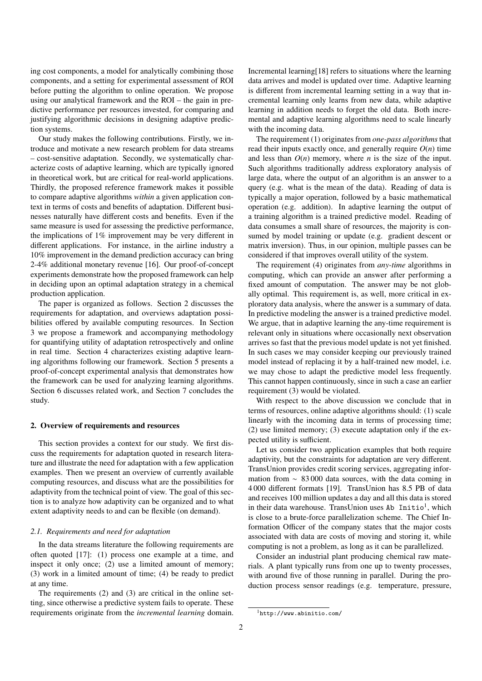ing cost components, a model for analytically combining those components, and a setting for experimental assessment of ROI before putting the algorithm to online operation. We propose using our analytical framework and the ROI – the gain in predictive performance per resources invested, for comparing and justifying algorithmic decisions in designing adaptive prediction systems.

Our study makes the following contributions. Firstly, we introduce and motivate a new research problem for data streams – cost-sensitive adaptation. Secondly, we systematically characterize costs of adaptive learning, which are typically ignored in theoretical work, but are critical for real-world applications. Thirdly, the proposed reference framework makes it possible to compare adaptive algorithms *within* a given application context in terms of costs and benefits of adaptation. Different businesses naturally have different costs and benefits. Even if the same measure is used for assessing the predictive performance, the implications of 1% improvement may be very different in different applications. For instance, in the airline industry a 10% improvement in the demand prediction accuracy can bring 2-4% additional monetary revenue [16]. Our proof-of-concept experiments demonstrate how the proposed framework can help in deciding upon an optimal adaptation strategy in a chemical production application.

The paper is organized as follows. Section 2 discusses the requirements for adaptation, and overviews adaptation possibilities offered by available computing resources. In Section 3 we propose a framework and accompanying methodology for quantifying utility of adaptation retrospectively and online in real time. Section 4 characterizes existing adaptive learning algorithms following our framework. Section 5 presents a proof-of-concept experimental analysis that demonstrates how the framework can be used for analyzing learning algorithms. Section 6 discusses related work, and Section 7 concludes the study.

#### 2. Overview of requirements and resources

This section provides a context for our study. We first discuss the requirements for adaptation quoted in research literature and illustrate the need for adaptation with a few application examples. Then we present an overview of currently available computing resources, and discuss what are the possibilities for adaptivity from the technical point of view. The goal of this section is to analyze how adaptivity can be organized and to what extent adaptivity needs to and can be flexible (on demand).

#### *2.1. Requirements and need for adaptation*

In the data streams literature the following requirements are often quoted [17]: (1) process one example at a time, and inspect it only once; (2) use a limited amount of memory; (3) work in a limited amount of time; (4) be ready to predict at any time.

The requirements (2) and (3) are critical in the online setting, since otherwise a predictive system fails to operate. These requirements originate from the *incremental learning* domain.

Incremental learning[18] refers to situations where the learning data arrives and model is updated over time. Adaptive learning is different from incremental learning setting in a way that incremental learning only learns from new data, while adaptive learning in addition needs to forget the old data. Both incremental and adaptive learning algorithms need to scale linearly with the incoming data.

The requirement (1) originates from *one-pass algorithms* that read their inputs exactly once, and generally require  $O(n)$  time and less than *O*(*n*) memory, where *n* is the size of the input. Such algorithms traditionally address exploratory analysis of large data, where the output of an algorithm is an answer to a query (e.g. what is the mean of the data). Reading of data is typically a major operation, followed by a basic mathematical operation (e.g. addition). In adaptive learning the output of a training algorithm is a trained predictive model. Reading of data consumes a small share of resources, the majority is consumed by model training or update (e.g. gradient descent or matrix inversion). Thus, in our opinion, multiple passes can be considered if that improves overall utility of the system.

The requirement (4) originates from *any-time* algorithms in computing, which can provide an answer after performing a fixed amount of computation. The answer may be not globally optimal. This requirement is, as well, more critical in exploratory data analysis, where the answer is a summary of data. In predictive modeling the answer is a trained predictive model. We argue, that in adaptive learning the any-time requirement is relevant only in situations where occasionally next observation arrives so fast that the previous model update is not yet finished. In such cases we may consider keeping our previously trained model instead of replacing it by a half-trained new model, i.e. we may chose to adapt the predictive model less frequently. This cannot happen continuously, since in such a case an earlier requirement (3) would be violated.

With respect to the above discussion we conclude that in terms of resources, online adaptive algorithms should: (1) scale linearly with the incoming data in terms of processing time; (2) use limited memory; (3) execute adaptation only if the expected utility is sufficient.

Let us consider two application examples that both require adaptivity, but the constraints for adaptation are very different. TransUnion provides credit scoring services, aggregating information from ∼ 83 000 data sources, with the data coming in 4 000 different formats [19]. TransUnion has 8.5 PB of data and receives 100 million updates a day and all this data is stored in their data warehouse. TransUnion uses Ab  $Initio<sup>1</sup>$ , which is close to a brute-force parallelization scheme. The Chief Information Officer of the company states that the major costs associated with data are costs of moving and storing it, while computing is not a problem, as long as it can be parallelized.

Consider an industrial plant producing chemical raw materials. A plant typically runs from one up to twenty processes, with around five of those running in parallel. During the production process sensor readings (e.g. temperature, pressure,

<sup>1</sup>http://www.abinitio.com/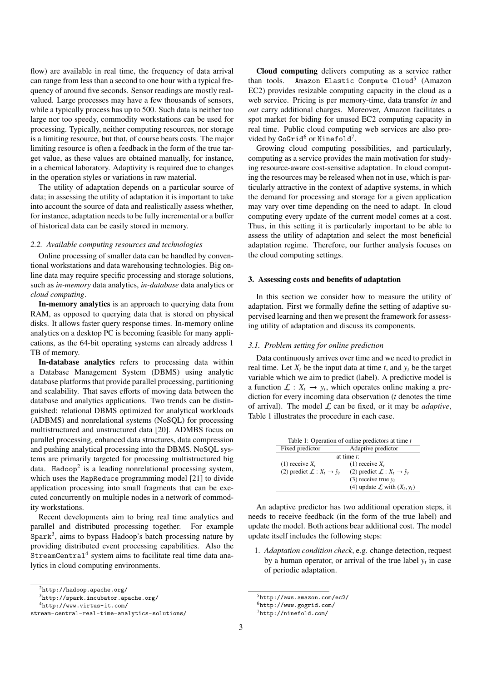flow) are available in real time, the frequency of data arrival can range from less than a second to one hour with a typical frequency of around five seconds. Sensor readings are mostly realvalued. Large processes may have a few thousands of sensors, while a typically process has up to 500. Such data is neither too large nor too speedy, commodity workstations can be used for processing. Typically, neither computing resources, nor storage is a limiting resource, but that, of course bears costs. The major limiting resource is often a feedback in the form of the true target value, as these values are obtained manually, for instance, in a chemical laboratory. Adaptivity is required due to changes in the operation styles or variations in raw material.

The utility of adaptation depends on a particular source of data; in assessing the utility of adaptation it is important to take into account the source of data and realistically assess whether, for instance, adaptation needs to be fully incremental or a buffer of historical data can be easily stored in memory.

# *2.2. Available computing resources and technologies*

Online processing of smaller data can be handled by conventional workstations and data warehousing technologies. Big online data may require specific processing and storage solutions, such as *in-memory* data analytics, *in-database* data analytics or *cloud computing*.

In-memory analytics is an approach to querying data from RAM, as opposed to querying data that is stored on physical disks. It allows faster query response times. In-memory online analytics on a desktop PC is becoming feasible for many applications, as the 64-bit operating systems can already address 1 TB of memory.

In-database analytics refers to processing data within a Database Management System (DBMS) using analytic database platforms that provide parallel processing, partitioning and scalability. That saves efforts of moving data between the database and analytics applications. Two trends can be distinguished: relational DBMS optimized for analytical workloads (ADBMS) and nonrelational systems (NoSQL) for processing multistructured and unstructured data [20]. ADMBS focus on parallel processing, enhanced data structures, data compression and pushing analytical processing into the DBMS. NoSQL systems are primarily targeted for processing multistructured big data. Hadoop<sup>2</sup> is a leading nonrelational processing system, which uses the MapReduce programming model [21] to divide application processing into small fragments that can be executed concurrently on multiple nodes in a network of commodity workstations.

Recent developments aim to bring real time analytics and parallel and distributed processing together. For example  $Spark<sup>3</sup>$ , aims to bypass Hadoop's batch processing nature by providing distributed event processing capabilities. Also the StreamCentral<sup>4</sup> system aims to facilitate real time data analytics in cloud computing environments.

Cloud computing delivers computing as a service rather than tools. Amazon Elastic Compute Cloud<sup>5</sup> (Amazon EC2) provides resizable computing capacity in the cloud as a web service. Pricing is per memory-time, data transfer *in* and *out* carry additional charges. Moreover, Amazon facilitates a spot market for biding for unused EC2 computing capacity in real time. Public cloud computing web services are also provided by GoGrid<sup>6</sup> or Ninefold<sup>7</sup>.

Growing cloud computing possibilities, and particularly, computing as a service provides the main motivation for studying resource-aware cost-sensitive adaptation. In cloud computing the resources may be released when not in use, which is particularly attractive in the context of adaptive systems, in which the demand for processing and storage for a given application may vary over time depending on the need to adapt. In cloud computing every update of the current model comes at a cost. Thus, in this setting it is particularly important to be able to assess the utility of adaptation and select the most beneficial adaptation regime. Therefore, our further analysis focuses on the cloud computing settings.

# 3. Assessing costs and benefits of adaptation

In this section we consider how to measure the utility of adaptation. First we formally define the setting of adaptive supervised learning and then we present the framework for assessing utility of adaptation and discuss its components.

## *3.1. Problem setting for online prediction*

Data continuously arrives over time and we need to predict in real time. Let  $X_t$  be the input data at time  $t$ , and  $y_t$  be the target variable which we aim to predict (label). A predictive model is a function  $\mathcal{L}: X_t \to y_t$ , which operates online making a prediction for every incoming data observation (*t* denotes the time of arrival). The model  $\mathcal L$  can be fixed, or it may be *adaptive*, Table 1 illustrates the procedure in each case.

|                                              | Table 1: Operation of online predictors at time t |  |  |  |  |  |
|----------------------------------------------|---------------------------------------------------|--|--|--|--|--|
| Fixed predictor                              | Adaptive predictor                                |  |  |  |  |  |
| at time $t$ :                                |                                                   |  |  |  |  |  |
| $(1)$ receive $X_t$                          | $(1)$ receive $X_t$                               |  |  |  |  |  |
| (2) predict $\mathcal{L}: X_t \to \hat{y}_t$ | (2) predict $\mathcal{L}: X_t \to \hat{y}_t$      |  |  |  |  |  |
|                                              | (3) receive true $v_t$                            |  |  |  |  |  |
|                                              | (4) update $\mathcal L$ with $(X_t, y_t)$         |  |  |  |  |  |
|                                              |                                                   |  |  |  |  |  |

An adaptive predictor has two additional operation steps, it needs to receive feedback (in the form of the true label) and update the model. Both actions bear additional cost. The model update itself includes the following steps:

1. *Adaptation condition check*, e.g. change detection, request by a human operator, or arrival of the true label  $y_t$  in case of periodic adaptation.

 $^{2}$ http://hadoop.apache.org/

<sup>3</sup>http://spark.incubator.apache.org/

<sup>4</sup>http://www.virtus-it.com/

stream-central-real-time-analytics-solutions/

<sup>5</sup>http://aws.amazon.com/ec2/

<sup>6</sup>http://www.gogrid.com/

<sup>7</sup>http://ninefold.com/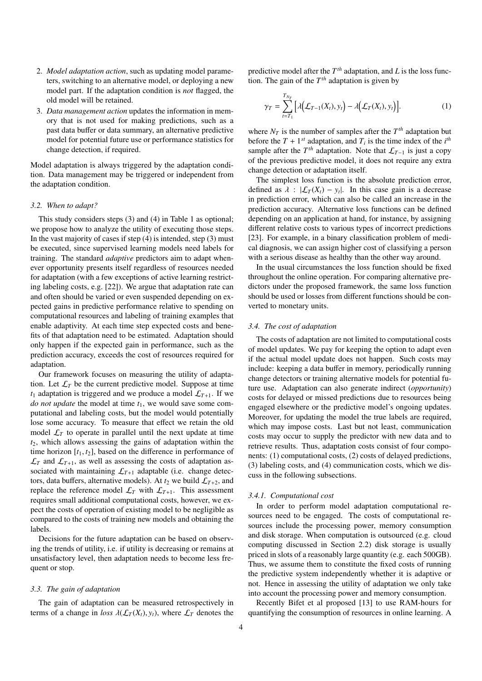- 2. *Model adaptation action*, such as updating model parameters, switching to an alternative model, or deploying a new model part. If the adaptation condition is *not* flagged, the old model will be retained.
- 3. *Data management action* updates the information in memory that is not used for making predictions, such as a past data buffer or data summary, an alternative predictive model for potential future use or performance statistics for change detection, if required.

Model adaptation is always triggered by the adaptation condition. Data management may be triggered or independent from the adaptation condition.

#### *3.2. When to adapt?*

This study considers steps (3) and (4) in Table 1 as optional; we propose how to analyze the utility of executing those steps. In the vast majority of cases if step  $(4)$  is intended, step  $(3)$  must be executed, since supervised learning models need labels for training. The standard *adaptive* predictors aim to adapt whenever opportunity presents itself regardless of resources needed for adaptation (with a few exceptions of active learning restricting labeling costs, e.g. [22]). We argue that adaptation rate can and often should be varied or even suspended depending on expected gains in predictive performance relative to spending on computational resources and labeling of training examples that enable adaptivity. At each time step expected costs and benefits of that adaptation need to be estimated. Adaptation should only happen if the expected gain in performance, such as the prediction accuracy, exceeds the cost of resources required for adaptation.

Our framework focuses on measuring the utility of adaptation. Let  $\mathcal{L}_T$  be the current predictive model. Suppose at time  $t_1$  adaptation is triggered and we produce a model  $\mathcal{L}_{T+1}$ . If we *do not update* the model at time  $t_1$ , we would save some computational and labeling costs, but the model would potentially lose some accuracy. To measure that effect we retain the old model  $\mathcal{L}_T$  to operate in parallel until the next update at time *t*2, which allows assessing the gains of adaptation within the time horizon  $[t_1, t_2]$ , based on the difference in performance of  $\mathcal{L}_T$  and  $\mathcal{L}_{T+1}$ , as well as assessing the costs of adaptation associated with maintaining  $\mathcal{L}_{T+1}$  adaptable (i.e. change detectors, data buffers, alternative models). At  $t_2$  we build  $\mathcal{L}_{T+2}$ , and replace the reference model  $\mathcal{L}_T$  with  $\mathcal{L}_{T+1}$ . This assessment requires small additional computational costs, however, we expect the costs of operation of existing model to be negligible as compared to the costs of training new models and obtaining the labels.

Decisions for the future adaptation can be based on observing the trends of utility, i.e. if utility is decreasing or remains at unsatisfactory level, then adaptation needs to become less frequent or stop.

#### *3.3. The gain of adaptation*

The gain of adaptation can be measured retrospectively in terms of a change in *loss*  $\lambda(\mathcal{L}_T(X_t), y_t)$ , where  $\mathcal{L}_T$  denotes the predictive model after the  $T^{th}$  adaptation, and  $L$  is the loss function. The gain of the  $T^{th}$  adaptation is given by

$$
\gamma_T = \sum_{t=T_1}^{T_{N_T}} \left[ \lambda \big( \mathcal{L}_{T-1}(X_t), y_t \big) - \lambda \big( \mathcal{L}_T(X_t), y_t \big) \right]. \tag{1}
$$

where  $N_T$  is the number of samples after the  $T<sup>th</sup>$  adaptation but before the  $T + 1^{st}$  adaptation, and  $T_i$  is the time index of the  $i^{th}$ sample after the  $T^{th}$  adaptation. Note that  $\mathcal{L}_{T-1}$  is just a copy of the previous predictive model, it does not require any extra change detection or adaptation itself.

The simplest loss function is the absolute prediction error, defined as  $\lambda : |L_T(X_t) - y_t|$ . In this case gain is a decrease<br>in prediction error, which can also be called an increase in the in prediction error, which can also be called an increase in the prediction accuracy. Alternative loss functions can be defined depending on an application at hand, for instance, by assigning different relative costs to various types of incorrect predictions [23]. For example, in a binary classification problem of medical diagnosis, we can assign higher cost of classifying a person with a serious disease as healthy than the other way around.

In the usual circumstances the loss function should be fixed throughout the online operation. For comparing alternative predictors under the proposed framework, the same loss function should be used or losses from different functions should be converted to monetary units.

#### *3.4. The cost of adaptation*

The costs of adaptation are not limited to computational costs of model updates. We pay for keeping the option to adapt even if the actual model update does not happen. Such costs may include: keeping a data buffer in memory, periodically running change detectors or training alternative models for potential future use. Adaptation can also generate indirect (*opportunity*) costs for delayed or missed predictions due to resources being engaged elsewhere or the predictive model's ongoing updates. Moreover, for updating the model the true labels are required, which may impose costs. Last but not least, communication costs may occur to supply the predictor with new data and to retrieve results. Thus, adaptation costs consist of four components: (1) computational costs, (2) costs of delayed predictions, (3) labeling costs, and (4) communication costs, which we discuss in the following subsections.

# *3.4.1. Computational cost*

In order to perform model adaptation computational resources need to be engaged. The costs of computational resources include the processing power, memory consumption and disk storage. When computation is outsourced (e.g. cloud computing discussed in Section 2.2) disk storage is usually priced in slots of a reasonably large quantity (e.g. each 500GB). Thus, we assume them to constitute the fixed costs of running the predictive system independently whether it is adaptive or not. Hence in assessing the utility of adaptation we only take into account the processing power and memory consumption.

Recently Bifet et al proposed [13] to use RAM-hours for quantifying the consumption of resources in online learning. A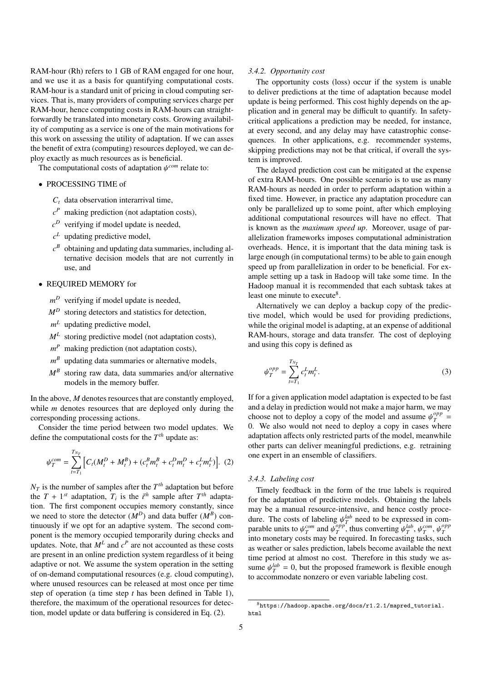RAM-hour (Rh) refers to 1 GB of RAM engaged for one hour, and we use it as a basis for quantifying computational costs. RAM-hour is a standard unit of pricing in cloud computing services. That is, many providers of computing services charge per RAM-hour, hence computing costs in RAM-hours can straightforwardly be translated into monetary costs. Growing availability of computing as a service is one of the main motivations for this work on assessing the utility of adaptation. If we can asses the benefit of extra (computing) resources deployed, we can deploy exactly as much resources as is beneficial.

The computational costs of adaptation  $\psi^{com}$  relate to:

- PROCESSING TIME of
	- $C_t$  data observation interarrival time,
	- $c<sup>P</sup>$  making prediction (not adaptation costs),
	- *c <sup>D</sup>* verifying if model update is needed,
	- *c <sup>L</sup>* updating predictive model,
	- $c^B$  obtaining and updating data summaries, including alternative decision models that are not currently in use, and
- REQUIRED MEMORY for
	- *m <sup>D</sup>* verifying if model update is needed,
	- $M^D$  storing detectors and statistics for detection,
	- *m <sup>L</sup>* updating predictive model,
	- *M<sup>L</sup>* storing predictive model (not adaptation costs),
	- *m <sup>P</sup>* making prediction (not adaptation costs),
	- *m <sup>B</sup>* updating data summaries or alternative models,
	- *M<sup>B</sup>* storing raw data, data summaries and/or alternative models in the memory buffer.

In the above, *M* denotes resources that are constantly employed, while *m* denotes resources that are deployed only during the corresponding processing actions.

Consider the time period between two model updates. We define the computational costs for the *T th* update as:

$$
\psi_T^{com} = \sum_{t=T_1}^{T_{N_T}} \left[ C_t (M_t^D + M_t^B) + (c_t^B m_t^B + c_t^D m_t^D + c_t^L m_t^L) \right]. \tag{2}
$$

 $N_T$  is the number of samples after the  $T^{th}$  adaptation but before the  $T + 1^{st}$  adaptation,  $T_i$  is the  $i^{th}$  sample after  $T^{th}$  adaptation. The first component occupies memory constantly, since we need to store the detector  $(M^D)$  and data buffer  $(M^B)$  continuously if we opt for an adaptive system. The second component is the memory occupied temporarily during checks and updates. Note, that  $M^L$  and  $c^P$  are not accounted as these costs are present in an online prediction system regardless of it being adaptive or not. We assume the system operation in the setting of on-demand computational resources (e.g. cloud computing), where unused resources can be released at most once per time step of operation (a time step *t* has been defined in Table 1), therefore, the maximum of the operational resources for detection, model update or data buffering is considered in Eq. (2).

#### *3.4.2. Opportunity cost*

The opportunity costs (loss) occur if the system is unable to deliver predictions at the time of adaptation because model update is being performed. This cost highly depends on the application and in general may be difficult to quantify. In safetycritical applications a prediction may be needed, for instance, at every second, and any delay may have catastrophic consequences. In other applications, e.g. recommender systems, skipping predictions may not be that critical, if overall the system is improved.

The delayed prediction cost can be mitigated at the expense of extra RAM-hours. One possible scenario is to use as many RAM-hours as needed in order to perform adaptation within a fixed time. However, in practice any adaptation procedure can only be parallelized up to some point, after which employing additional computational resources will have no effect. That is known as the *maximum speed up*. Moreover, usage of parallelization frameworks imposes computational administration overheads. Hence, it is important that the data mining task is large enough (in computational terms) to be able to gain enough speed up from parallelization in order to be beneficial. For example setting up a task in Hadoop will take some time. In the Hadoop manual it is recommended that each subtask takes at least one minute to execute<sup>8</sup>.

Alternatively we can deploy a backup copy of the predictive model, which would be used for providing predictions, while the original model is adapting, at an expense of additional RAM-hours, storage and data transfer. The cost of deploying and using this copy is defined as

$$
\psi_T^{opp} = \sum_{t=T_1}^{T_{N_T}} c_t^L m_t^L.
$$
\n(3)

If for a given application model adaptation is expected to be fast and a delay in prediction would not make a major harm, we may choose not to deploy a copy of the model and assume  $\psi_T^{opp}$ <br>0. We also would not need to deploy a copy in cases when  $T$ <sup>opp</sup> = 0. We also would not need to deploy a copy in cases where adaptation affects only restricted parts of the model, meanwhile other parts can deliver meaningful predictions, e.g. retraining one expert in an ensemble of classifiers.

# *3.4.3. Labeling cost*

Timely feedback in the form of the true labels is required for the adaptation of predictive models. Obtaining the labels may be a manual resource-intensive, and hence costly procedure. The costs of labeling  $\psi_{\alpha}^{lab}$  need to be expressed in com-<br>parable units to  $\psi_{\alpha}^{com}$  and  $\psi_{\alpha}^{opp}$  thus converting  $\psi_{\alpha}^{lab}$   $\psi_{\alpha}^{com}$   $\psi_{\alpha}^{opp}$ parable units to  $\psi_T^{com}$  and  $\psi_T^{opp}$ <br>into monetary costs may be re  $\psi_T^{opp}$ , thus converting  $\psi_T^{lab}$ ,  $\psi_T^{com}$ ,  $\psi_T^{opp}$ *T* into monetary costs may be required. In forecasting tasks, such as weather or sales prediction, labels become available the next time period at almost no cost. Therefore in this study we assume  $\psi_T^{lab} = 0$ , but the proposed framework is flexible enough to accommodate popzero or even variable labeling cost to accommodate nonzero or even variable labeling cost.

<sup>8</sup>https://hadoop.apache.org/docs/r1.2.1/mapred\_tutorial. html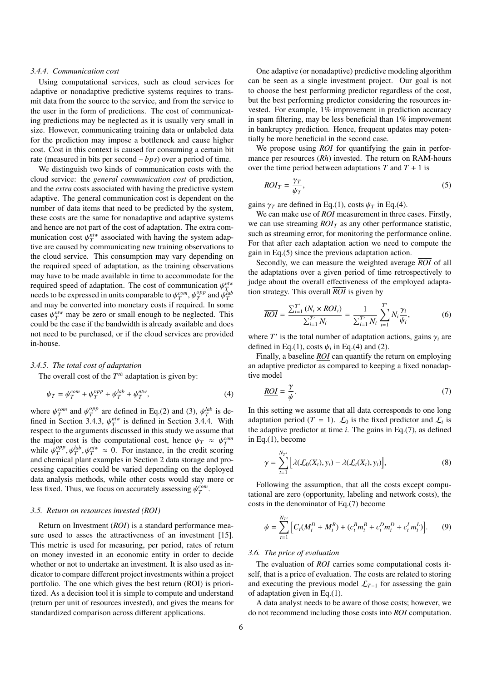#### *3.4.4. Communication cost*

Using computational services, such as cloud services for adaptive or nonadaptive predictive systems requires to transmit data from the source to the service, and from the service to the user in the form of predictions. The cost of communicating predictions may be neglected as it is usually very small in size. However, communicating training data or unlabeled data for the prediction may impose a bottleneck and cause higher cost. Cost in this context is caused for consuming a certain bit rate (measured in bits per second – *bps*) over a period of time.

We distinguish two kinds of communication costs with the cloud service: the *general communication cost* of prediction, and the *extra* costs associated with having the predictive system adaptive. The general communication cost is dependent on the number of data items that need to be predicted by the system, these costs are the same for nonadaptive and adaptive systems and hence are not part of the cost of adaptation. The extra communication cost  $\psi_T^{ntw}$  associated with having the system adaptive are caused by communicating new training observations to tive are caused by communicating new training observations to the cloud service. This consumption may vary depending on the required speed of adaptation, as the training observations may have to be made available in time to accommodate for the required speed of adaptation. The cost of communication  $\psi_T^{ntw}$ <br>needs to be expressed in units comparable to  $\psi_C^{com}$ ,  $\psi_T^{opp}$  and  $\psi_T^{lab}$ needs to be expressed in units comparable to  $\psi_T^{com}$ ,  $\psi_T^{opp}$  $_{T}^{\rho pp}$  and  $_{\nu T}^{\rho lab}$ <br> *P*d In some and may be converted into monetary costs if required. In some cases  $\psi_T^{ntw}$  may be zero or small enough to be neglected. This could be the case if the bandwidth is already available and does not need to be purchased, or if the cloud services are provided in-house.

#### *3.4.5. The total cost of adaptation*

The overall cost of the  $T^{th}$  adaptation is given by:

$$
\psi_T = \psi_T^{com} + \psi_T^{opp} + \psi_T^{lab} + \psi_T^{ntw},\tag{4}
$$

where  $\psi_T^{com}$  and  $\psi_T^{opp}$ <br>fined in Section 3.4  $T_T^{opp}$  are defined in Eq.(2) and (3),  $\psi_R^{lab}$  is de-<br>  $T_A$  3  $\psi_R^{nliv}$  is defined in Section 3.4.4. With fined in Section 3.4.3,  $\psi_T^{ntw}$  is defined in Section 3.4.4. With respect to the arguments discussed in this study we assume that respect to the arguments discussed in this study we assume that the major cost is the computational cost, hence  $\psi_T \approx \psi_T^{com}$ <br>while  $\psi^{opp}$   $\psi^{lab}$   $\psi^{ntw} \approx 0$ . For instance, in the credit scoring while  $\psi_T^{opp}$  $T^{opp}_{T}$ ,  $\psi_T^{lab}$ ,  $\psi_T^{ntw} \approx 0$ . For instance, in the credit scoring<br>micel plant examples in Section 2 data storage and proand chemical plant examples in Section 2 data storage and processing capacities could be varied depending on the deployed data analysis methods, while other costs would stay more or less fixed. Thus, we focus on accurately assessing  $\psi_T^{com}$ .

## *3.5. Return on resources invested (ROI)*

Return on Investment (*ROI*) is a standard performance measure used to asses the attractiveness of an investment [15]. This metric is used for measuring, per period, rates of return on money invested in an economic entity in order to decide whether or not to undertake an investment. It is also used as indicator to compare different project investments within a project portfolio. The one which gives the best return (ROI) is prioritized. As a decision tool it is simple to compute and understand (return per unit of resources invested), and gives the means for standardized comparison across different applications.

One adaptive (or nonadaptive) predictive modeling algorithm can be seen as a single investment project. Our goal is not to choose the best performing predictor regardless of the cost, but the best performing predictor considering the resources invested. For example, 1% improvement in prediction accuracy in spam filtering, may be less beneficial than 1% improvement in bankruptcy prediction. Hence, frequent updates may potentially be more beneficial in the second case.

We propose using *ROI* for quantifying the gain in performance per resources (*Rh*) invested. The return on RAM-hours over the time period between adaptations  $T$  and  $T + 1$  is

$$
ROI_T = \frac{\gamma_T}{\psi_T},\tag{5}
$$

gains  $\gamma_T$  are defined in Eq.(1), costs  $\psi_T$  in Eq.(4).

We can make use of *ROI* measurement in three cases. Firstly, we can use streaming  $ROI_T$  as any other performance statistic, such as streaming error, for monitoring the performance online. For that after each adaptation action we need to compute the gain in Eq.(5) since the previous adaptation action.

Secondly, we can measure the weighted average *ROI* of all the adaptations over a given period of time retrospectively to judge about the overall effectiveness of the employed adaptation strategy. This overall *ROI* is given by

$$
\overline{ROI} = \frac{\sum_{i=1}^{T'} (N_i \times ROI_i)}{\sum_{i=1}^{T'} N_i} = \frac{1}{\sum_{i=1}^{T'} N_i} \sum_{i=1}^{T'} N_i \frac{\gamma_i}{\psi_i},
$$
(6)

where *T'* is the total number of adaptation actions, gains  $\gamma_i$  are defined in Eq.(1), costs  $\psi_i$  in Eq.(4) and (2) defined in Eq.(1), costs  $\psi_i$  in Eq.(4) and (2).<br>Finally a baseline *ROI* can quantify the r

Finally, a baseline *ROI* can quantify the return on employing an adaptive predictor as compared to keeping a fixed nonadaptive model

$$
\underline{ROI} = \frac{\gamma}{\psi}.\tag{7}
$$

In this setting we assume that all data corresponds to one long adaptation period (*T* = 1).  $\mathcal{L}_0$  is the fixed predictor and  $\mathcal{L}_i$  is the adaptive predictor at time  $i$ . The gains in Eq.(7), as defined in Eq.(1), become

$$
\gamma = \sum_{t=1}^{N_{T'}} \left[ \lambda(\mathcal{L}_0(X_t), y_t) - \lambda(\mathcal{L}_t(X_t), y_t) \right],\tag{8}
$$

Following the assumption, that all the costs except computational are zero (opportunity, labeling and network costs), the costs in the denominator of Eq.(7) become

$$
\psi = \sum_{t=1}^{N_{T'}} \left[ C_t (M_t^D + M_t^B) + (c_t^B m_t^B + c_t^D m_t^D + c_t^L m_t^L) \right].
$$
 (9)

#### *3.6. The price of evaluation*

The evaluation of *ROI* carries some computational costs itself, that is a price of evaluation. The costs are related to storing and executing the previous model  $\mathcal{L}_{T-1}$  for assessing the gain of adaptation given in Eq.(1).

A data analyst needs to be aware of those costs; however, we do not recommend including those costs into *ROI* computation.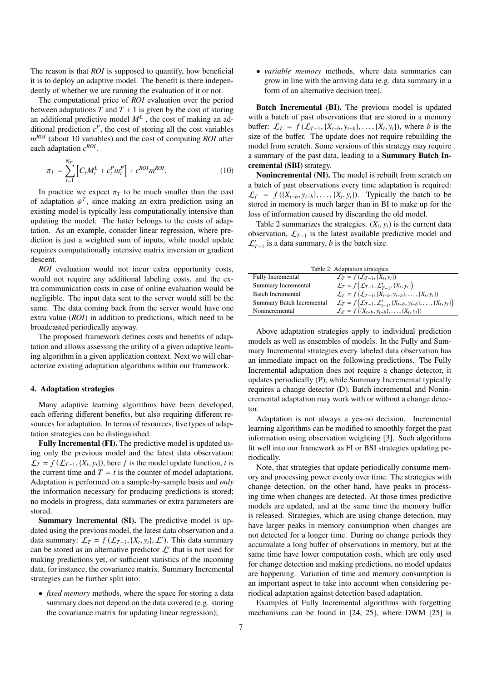The reason is that *ROI* is supposed to quantify, how beneficial it is to deploy an adaptive model. The benefit is there independently of whether we are running the evaluation of it or not.

The computational price of *ROI* evaluation over the period between adaptations  $T$  and  $T + 1$  is given by the cost of storing an additional predictive model  $M<sup>L</sup>$ , the cost of making an additional prediction  $c^P$ , the cost of storing all the cost variables *m ROI* (about 10 variables) and the cost of computing *ROI* after each adaptation  $c^{ROI}$ .

$$
\pi_T = \sum_{t=1}^{N_{T'}} \left[ C_t M_t^L + c_t^P m_t^P \right] + c^{ROI} m^{ROI}.
$$
 (10)

In practice we expect  $\pi$ <sup>T</sup> to be much smaller than the cost of adaptation  $\psi^T$ , since making an extra prediction using an existing model is typically less computationally intensive than existing model is typically less computationally intensive than updating the model. The latter belongs to the costs of adaptation. As an example, consider linear regression, where prediction is just a weighted sum of inputs, while model update requires computationally intensive matrix inversion or gradient descent.

*ROI* evaluation would not incur extra opportunity costs, would not require any additional labeling costs, and the extra communication costs in case of online evaluation would be negligible. The input data sent to the server would still be the same. The data coming back from the server would have one extra value (*ROI*) in addition to predictions, which need to be broadcasted periodically anyway.

The proposed framework defines costs and benefits of adaptation and allows assessing the utility of a given adaptive learning algorithm in a given application context. Next we will characterize existing adaptation algorithms within our framework.

#### 4. Adaptation strategies

Many adaptive learning algorithms have been developed, each offering different benefits, but also requiring different resources for adaptation. In terms of resources, five types of adaptation strategies can be distinguished.

Fully Incremental (FI). The predictive model is updated using only the previous model and the latest data observation:  $\mathcal{L}_T = f(\mathcal{L}_{T-1}, \{X_t, y_t\})$ , here *f* is the model update function, *t* is the current time and *T* – *t* is the counter of model adaptations the current time and  $T = t$  is the counter of model adaptations. Adaptation is performed on a sample-by-sample basis and *only* the information necessary for producing predictions is stored; no models in progress, data summaries or extra parameters are stored.

Summary Incremental (SI). The predictive model is updated using the previous model, the latest data observation and a data summary:  $\mathcal{L}_T = f(\mathcal{L}_{T-1}, \{X_t, y_t\}, \mathcal{L}')$ . This data summary<br>can be stored as an alternative predictor  $f'$  that is not used for can be stored as an alternative predictor  $\mathcal{L}'$  that is not used for making predictions yet, or sufficient statistics of the incoming data, for instance, the covariance matrix. Summary Incremental strategies can be further split into:

• *fixed memory* methods, where the space for storing a data summary does not depend on the data covered (e.g. storing the covariance matrix for updating linear regression);

• *variable memory* methods, where data summaries can grow in line with the arriving data (e.g. data summary in a form of an alternative decision tree).

Batch Incremental (BI). The previous model is updated with a batch of past observations that are stored in a memory buffer:  $\mathcal{L}_T = f(\mathcal{L}_{T-1}, \{X_{t-b}, y_{t-b}\}, \dots, \{X_t, y_t\})$ , where *b* is the size of the buffer. The undate does not require rebuilding the size of the buffer. The update does not require rebuilding the model from scratch. Some versions of this strategy may require a summary of the past data, leading to a Summary Batch Incremental (SBI) strategy.

Nonincremental (NI). The model is rebuilt from scratch on a batch of past observations every time adaptation is required:  $\mathcal{L}_T = f({X_{t-b}, y_{t-b}}, \ldots, {X_t, y_t}).$  Typically the batch to be stored in memory is much larger than in BI to make up for the stored in memory is much larger than in BI to make up for the loss of information caused by discarding the old model.

Table 2 summarizes the strategies.  $(X_t, y_t)$  is the current data<br>servation.  $\mathcal{L}_{x}$ , is the latest available predictive model and observation,  $\mathcal{L}_{T-1}$  is the latest available predictive model and  $\mathcal{L}_{T-1}'$  is a data summary, *b* is the batch size.

| Table 2: Adaptation strategies |                                                                                                       |  |  |  |  |  |
|--------------------------------|-------------------------------------------------------------------------------------------------------|--|--|--|--|--|
| <b>Fully Incremental</b>       | $\mathcal{L}_T = f(\mathcal{L}_{T-1}, \{X_t, y_t\})$                                                  |  |  |  |  |  |
| Summary Incremental            | $\mathcal{L}_T = f\left(\mathcal{L}_{T-1}, \mathcal{L}'_{T-1}, \{X_t, y_t\}\right)$                   |  |  |  |  |  |
| <b>Batch Incremental</b>       | $\mathcal{L}_T = f(\mathcal{L}_{T-1}, \{X_{t-b}, y_{t-b}\}, \ldots, \{X_t, y_t\})$                    |  |  |  |  |  |
| Summary Batch Incremental      | $\mathcal{L}_T = f(\mathcal{L}_{T-1}, \mathcal{L}'_{t-1}, \{X_{t-b}, y_{t-b}\}, \dots, \{X_t, y_t\})$ |  |  |  |  |  |
| Nonincremental                 | $\mathcal{L}_T = f({X_{t-h}, y_{t-h}}, \ldots, {X_t, y_t})$                                           |  |  |  |  |  |
|                                |                                                                                                       |  |  |  |  |  |

Above adaptation strategies apply to individual prediction models as well as ensembles of models. In the Fully and Summary Incremental strategies every labeled data observation has an immediate impact on the following predictions. The Fully Incremental adaptation does not require a change detector, it updates periodically (P), while Summary Incremental typically requires a change detector (D). Batch incremental and Nonincremental adaptation may work with or without a change detector.

Adaptation is not always a yes-no decision. Incremental learning algorithms can be modified to smoothly forget the past information using observation weighting [3]. Such algorithms fit well into our framework as FI or BSI strategies updating periodically.

Note, that strategies that update periodically consume memory and processing power evenly over time. The strategies with change detection, on the other hand, have peaks in processing time when changes are detected. At those times predictive models are updated, and at the same time the memory buffer is released. Strategies, which are using change detection, may have larger peaks in memory consumption when changes are not detected for a longer time. During no change periods they accumulate a long buffer of observations in memory, but at the same time have lower computation costs, which are only used for change detection and making predictions, no model updates are happening. Variation of time and memory consumption is an important aspect to take into account when considering periodical adaptation against detection based adaptation.

Examples of Fully Incremental algorithms with forgetting mechanisms can be found in [24, 25], where DWM [25] is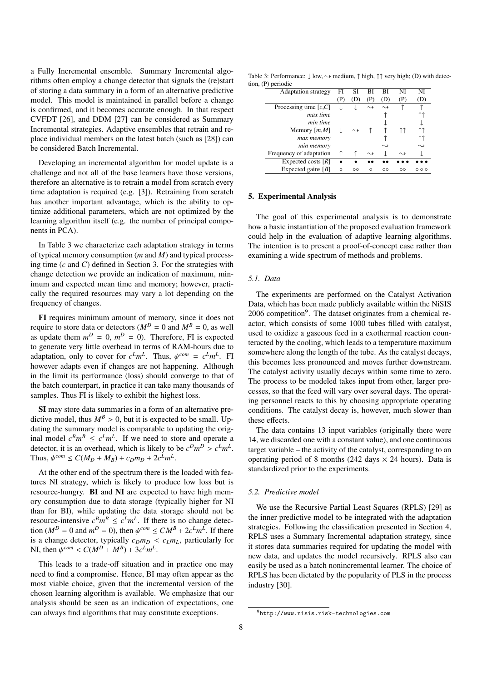a Fully Incremental ensemble. Summary Incremental algorithms often employ a change detector that signals the (re)start of storing a data summary in a form of an alternative predictive model. This model is maintained in parallel before a change is confirmed, and it becomes accurate enough. In that respect CVFDT [26], and DDM [27] can be considered as Summary Incremental strategies. Adaptive ensembles that retrain and replace individual members on the latest batch (such as [28]) can be considered Batch Incremental.

Developing an incremental algorithm for model update is a challenge and not all of the base learners have those versions, therefore an alternative is to retrain a model from scratch every time adaptation is required (e.g. [3]). Retraining from scratch has another important advantage, which is the ability to optimize additional parameters, which are not optimized by the learning algorithm itself (e.g. the number of principal components in PCA).

In Table 3 we characterize each adaptation strategy in terms of typical memory consumption (*m* and *M*) and typical processing time (*c* and *C*) defined in Section 3. For the strategies with change detection we provide an indication of maximum, minimum and expected mean time and memory; however, practically the required resources may vary a lot depending on the frequency of changes.

FI requires minimum amount of memory, since it does not require to store data or detectors ( $M^D = 0$  and  $M^B = 0$ , as well as update them  $m^D = 0$ ,  $m^D = 0$ ). Therefore, FI is expected to generate very little overhead in terms of RAM-hours due to adaptation, only to cover for  $c^L m^L$ . Thus,  $\psi^{com} = c^L m^L$ . FI<br>however adapts even if changes are not happening. Although however adapts even if changes are not happening. Although in the limit its performance (loss) should converge to that of the batch counterpart, in practice it can take many thousands of samples. Thus FI is likely to exhibit the highest loss.

SI may store data summaries in a form of an alternative predictive model, thus  $M^B > 0$ , but it is expected to be small. Updating the summary model is comparable to updating the original model  $c^B m^B \leq c^L m^L$ . If we need to store and operate a detector, it is an overhead, which is likely to be  $c^D m^D > c^L m^L$ .<br>Thus  $d c^{com} < C(M_D + M_D) + c_D m_D + 2 c^L m^L$ Thus,  $\psi^{com} \le C(M_D + M_B) + c_D m_D + 2c^L m^L$ .

At the other end of the spectrum there is the loaded with features NI strategy, which is likely to produce low loss but is resource-hungry. BI and NI are expected to have high memory consumption due to data storage (typically higher for NI than for BI), while updating the data storage should not be resource-intensive  $c^B m^B \leq c^L m^L$ . If there is no change detection  $(M^D = 0$  and  $m^D = 0$ ), then  $\psi^{com} \leq CM^B + 2c^L m^L$ . If there is a change detector, typically  $c_Dm_D < c_Lm_L$ , particularly for NI, then  $\psi^{com} < C(M^D + M^B) + 3c^L m^L$ .

This leads to a trade-off situation and in practice one may need to find a compromise. Hence, BI may often appear as the most viable choice, given that the incremental version of the chosen learning algorithm is available. We emphasize that our analysis should be seen as an indication of expectations, one can always find algorithms that may constitute exceptions.

Table 3: Performance: ↓ low,  $\sim$  medium, ↑ high, ↑↑ very high; (D) with detection, (P) periodic

| <b>Adaptation strategy</b> | FI      | SI      | BI                 | BI                 | NI                 | NI                   |
|----------------------------|---------|---------|--------------------|--------------------|--------------------|----------------------|
|                            | (P)     | (D      |                    |                    | (P)                |                      |
| Processing time $[c, C]$   |         |         |                    |                    |                    |                      |
| max time                   |         |         |                    |                    |                    |                      |
| min time                   |         |         |                    |                    |                    |                      |
| Memory $[m, M]$            |         |         |                    |                    |                    |                      |
| max memory                 |         |         |                    |                    |                    |                      |
| min memory                 |         |         |                    | $\rightsquigarrow$ |                    |                      |
| Frequency of adaptation    |         |         | $\rightsquigarrow$ |                    | $\rightsquigarrow$ |                      |
| Expected costs $[R]$       |         |         |                    |                    |                    |                      |
| Expected gains $[B]$       | $\circ$ | $\circ$ | $\Omega$           | $\circ$            | $\circ$            | $\circ$ $\circ$<br>O |
|                            |         |         |                    |                    |                    |                      |

#### 5. Experimental Analysis

The goal of this experimental analysis is to demonstrate how a basic instantiation of the proposed evaluation framework could help in the evaluation of adaptive learning algorithms. The intention is to present a proof-of-concept case rather than examining a wide spectrum of methods and problems.

# *5.1. Data*

The experiments are performed on the Catalyst Activation Data, which has been made publicly available within the NiSIS 2006 competition<sup>9</sup>. The dataset originates from a chemical reactor, which consists of some 1000 tubes filled with catalyst, used to oxidize a gaseous feed in a exothermal reaction counteracted by the cooling, which leads to a temperature maximum somewhere along the length of the tube. As the catalyst decays, this becomes less pronounced and moves further downstream. The catalyst activity usually decays within some time to zero. The process to be modeled takes input from other, larger processes, so that the feed will vary over several days. The operating personnel reacts to this by choosing appropriate operating conditions. The catalyst decay is, however, much slower than these effects.

The data contains 13 input variables (originally there were 14, we discarded one with a constant value), and one continuous target variable – the activity of the catalyst, corresponding to an operating period of 8 months (242 days  $\times$  24 hours). Data is standardized prior to the experiments.

#### *5.2. Predictive model*

We use the Recursive Partial Least Squares (RPLS) [29] as the inner predictive model to be integrated with the adaptation strategies. Following the classification presented in Section 4, RPLS uses a Summary Incremental adaptation strategy, since it stores data summaries required for updating the model with new data, and updates the model recursively. RPLS also can easily be used as a batch nonincremental learner. The choice of RPLS has been dictated by the popularity of PLS in the process industry [30].

<sup>9</sup>http://www.nisis.risk-technologies.com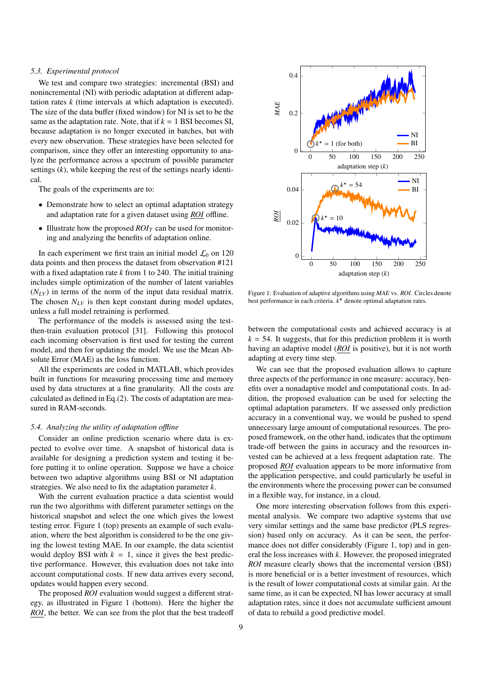#### *5.3. Experimental protocol*

We test and compare two strategies: incremental (BSI) and nonincremental (NI) with periodic adaptation at different adaptation rates *k* (time intervals at which adaptation is executed). The size of the data buffer (fixed window) for NI is set to be the same as the adaptation rate. Note, that if  $k = 1$  BSI becomes SI, because adaptation is no longer executed in batches, but with every new observation. These strategies have been selected for comparison, since they offer an interesting opportunity to analyze the performance across a spectrum of possible parameter settings (*k*), while keeping the rest of the settings nearly identical.

The goals of the experiments are to:

- Demonstrate how to select an optimal adaptation strategy and adaptation rate for a given dataset using *ROI* offline.
- Illustrate how the proposed  $ROI_T$  can be used for monitoring and analyzing the benefits of adaptation online.

In each experiment we first train an initial model  $\mathcal{L}_0$  on 120 data points and then process the dataset from observation #121 with a fixed adaptation rate *k* from 1 to 240. The initial training includes simple optimization of the number of latent variables  $(N_{LV})$  in terms of the norm of the input data residual matrix. The chosen  $N_{LV}$  is then kept constant during model updates, unless a full model retraining is performed.

The performance of the models is assessed using the testthen-train evaluation protocol [31]. Following this protocol each incoming observation is first used for testing the current model, and then for updating the model. We use the Mean Absolute Error (MAE) as the loss function.

All the experiments are coded in MATLAB, which provides built in functions for measuring processing time and memory used by data structures at a fine granularity. All the costs are calculated as defined in Eq.(2). The costs of adaptation are measured in RAM-seconds.

# *5.4. Analyzing the utility of adaptation o*ffl*ine*

Consider an online prediction scenario where data is expected to evolve over time. A snapshot of historical data is available for designing a prediction system and testing it before putting it to online operation. Suppose we have a choice between two adaptive algorithms using BSI or NI adaptation strategies. We also need to fix the adaptation parameter *k*.

With the current evaluation practice a data scientist would run the two algorithms with different parameter settings on the historical snapshot and select the one which gives the lowest testing error. Figure 1 (top) presents an example of such evaluation, where the best algorithm is considered to be the one giving the lowest testing MAE. In our example, the data scientist would deploy BSI with  $k = 1$ , since it gives the best predictive performance. However, this evaluation does not take into account computational costs. If new data arrives every second, updates would happen every second.

The proposed *ROI* evaluation would suggest a different strategy, as illustrated in Figure 1 (bottom). Here the higher the *ROI*, the better. We can see from the plot that the best tradeoff



Figure 1: Evaluation of adaptive algorithms using *MAE* vs. *ROI*. Circles denote best performance in each criteria.  $k^*$  denote optimal adaptation rates.

between the computational costs and achieved accuracy is at  $k = 54$ . It suggests, that for this prediction problem it is worth having an adaptive model (*ROI* is positive), but it is not worth adapting at every time step.

We can see that the proposed evaluation allows to capture three aspects of the performance in one measure: accuracy, benefits over a nonadaptive model and computational costs. In addition, the proposed evaluation can be used for selecting the optimal adaptation parameters. If we assessed only prediction accuracy in a conventional way, we would be pushed to spend unnecessary large amount of computational resources. The proposed framework, on the other hand, indicates that the optimum trade-off between the gains in accuracy and the resources invested can be achieved at a less frequent adaptation rate. The proposed *ROI* evaluation appears to be more informative from the application perspective, and could particularly be useful in the environments where the processing power can be consumed in a flexible way, for instance, in a cloud.

One more interesting observation follows from this experimental analysis. We compare two adaptive systems that use very similar settings and the same base predictor (PLS regression) based only on accuracy. As it can be seen, the performance does not differ considerably (Figure 1, top) and in general the loss increases with *k*. However, the proposed integrated *ROI* measure clearly shows that the incremental version (BSI) is more beneficial or is a better investment of resources, which is the result of lower computational costs at similar gain. At the same time, as it can be expected, NI has lower accuracy at small adaptation rates, since it does not accumulate sufficient amount of data to rebuild a good predictive model.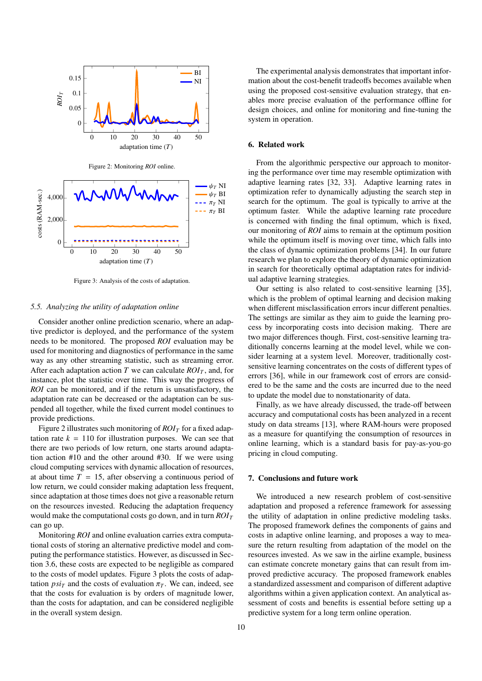

Figure 2: Monitoring *ROI* online.



Figure 3: Analysis of the costs of adaptation.

# *5.5. Analyzing the utility of adaptation online*

Consider another online prediction scenario, where an adaptive predictor is deployed, and the performance of the system needs to be monitored. The proposed *ROI* evaluation may be used for monitoring and diagnostics of performance in the same way as any other streaming statistic, such as streaming error. After each adaptation action *T* we can calculate  $ROI<sub>T</sub>$ , and, for instance, plot the statistic over time. This way the progress of *ROI* can be monitored, and if the return is unsatisfactory, the adaptation rate can be decreased or the adaptation can be suspended all together, while the fixed current model continues to provide predictions.

Figure 2 illustrates such monitoring of  $ROI_T$  for a fixed adaptation rate  $k = 110$  for illustration purposes. We can see that there are two periods of low return, one starts around adaptation action #10 and the other around #30. If we were using cloud computing services with dynamic allocation of resources, at about time  $T = 15$ , after observing a continuous period of low return, we could consider making adaptation less frequent, since adaptation at those times does not give a reasonable return on the resources invested. Reducing the adaptation frequency would make the computational costs go down, and in turn *ROI<sup>T</sup>* can go up.

Monitoring *ROI* and online evaluation carries extra computational costs of storing an alternative predictive model and computing the performance statistics. However, as discussed in Section 3.6, these costs are expected to be negligible as compared to the costs of model updates. Figure 3 plots the costs of adaptation  $psi<sub>T</sub>$  and the costs of evaluation  $\pi<sub>T</sub>$ . We can, indeed, see that the costs for evaluation is by orders of magnitude lower, than the costs for adaptation, and can be considered negligible in the overall system design.

The experimental analysis demonstrates that important information about the cost-benefit tradeoffs becomes available when using the proposed cost-sensitive evaluation strategy, that enables more precise evaluation of the performance offline for design choices, and online for monitoring and fine-tuning the system in operation.

# 6. Related work

From the algorithmic perspective our approach to monitoring the performance over time may resemble optimization with adaptive learning rates [32, 33]. Adaptive learning rates in optimization refer to dynamically adjusting the search step in search for the optimum. The goal is typically to arrive at the optimum faster. While the adaptive learning rate procedure is concerned with finding the final optimum, which is fixed, our monitoring of *ROI* aims to remain at the optimum position while the optimum itself is moving over time, which falls into the class of dynamic optimization problems [34]. In our future research we plan to explore the theory of dynamic optimization in search for theoretically optimal adaptation rates for individual adaptive learning strategies.

Our setting is also related to cost-sensitive learning [35], which is the problem of optimal learning and decision making when different misclassification errors incur different penalties. The settings are similar as they aim to guide the learning process by incorporating costs into decision making. There are two major differences though. First, cost-sensitive learning traditionally concerns learning at the model level, while we consider learning at a system level. Moreover, traditionally costsensitive learning concentrates on the costs of different types of errors [36], while in our framework cost of errors are considered to be the same and the costs are incurred due to the need to update the model due to nonstationarity of data.

Finally, as we have already discussed, the trade-off between accuracy and computational costs has been analyzed in a recent study on data streams [13], where RAM-hours were proposed as a measure for quantifying the consumption of resources in online learning, which is a standard basis for pay-as-you-go pricing in cloud computing.

# 7. Conclusions and future work

We introduced a new research problem of cost-sensitive adaptation and proposed a reference framework for assessing the utility of adaptation in online predictive modeling tasks. The proposed framework defines the components of gains and costs in adaptive online learning, and proposes a way to measure the return resulting from adaptation of the model on the resources invested. As we saw in the airline example, business can estimate concrete monetary gains that can result from improved predictive accuracy. The proposed framework enables a standardized assessment and comparison of different adaptive algorithms within a given application context. An analytical assessment of costs and benefits is essential before setting up a predictive system for a long term online operation.